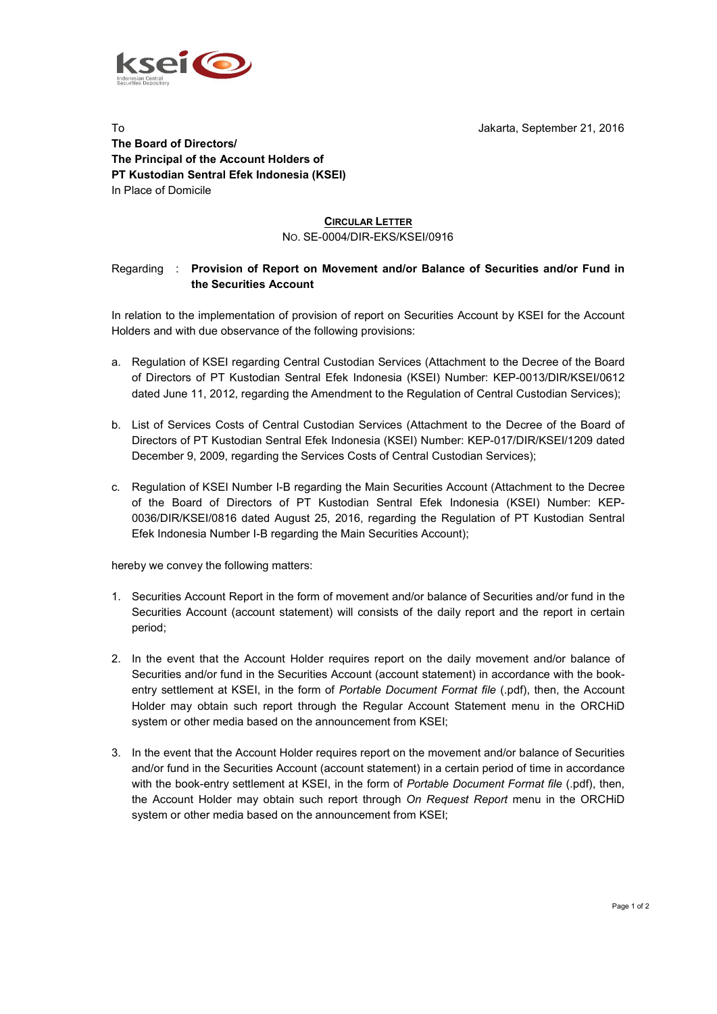



**The Board of Directors/ The Principal of the Account Holders of PT Kustodian Sentral Efek Indonesia (KSEI)** In Place of Domicile

## **CIRCULAR LETTER** NO. SE-0004/DIR-EKS/KSEI/0916

## Regarding : **Provision of Report on Movement and/or Balance of Securities and/or Fund in the Securities Account**

In relation to the implementation of provision of report on Securities Account by KSEI for the Account Holders and with due observance of the following provisions:

- a. Regulation of KSEI regarding Central Custodian Services (Attachment to the Decree of the Board of Directors of PT Kustodian Sentral Efek Indonesia (KSEI) Number: KEP-0013/DIR/KSEI/0612 dated June 11, 2012, regarding the Amendment to the Regulation of Central Custodian Services);
- b. List of Services Costs of Central Custodian Services (Attachment to the Decree of the Board of Directors of PT Kustodian Sentral Efek Indonesia (KSEI) Number: KEP-017/DIR/KSEI/1209 dated December 9, 2009, regarding the Services Costs of Central Custodian Services);
- c. Regulation of KSEI Number I-B regarding the Main Securities Account (Attachment to the Decree of the Board of Directors of PT Kustodian Sentral Efek Indonesia (KSEI) Number: KEP-0036/DIR/KSEI/0816 dated August 25, 2016, regarding the Regulation of PT Kustodian Sentral Efek Indonesia Number I-B regarding the Main Securities Account);

hereby we convey the following matters:

- 1. Securities Account Report in the form of movement and/or balance of Securities and/or fund in the Securities Account (account statement) will consists of the daily report and the report in certain period;
- 2. In the event that the Account Holder requires report on the daily movement and/or balance of Securities and/or fund in the Securities Account (account statement) in accordance with the bookentry settlement at KSEI, in the form of *Portable Document Format file* (.pdf), then, the Account Holder may obtain such report through the Regular Account Statement menu in the ORCHiD system or other media based on the announcement from KSEI;
- 3. In the event that the Account Holder requires report on the movement and/or balance of Securities and/or fund in the Securities Account (account statement) in a certain period of time in accordance with the book-entry settlement at KSEI, in the form of *Portable Document Format file* (.pdf), then, the Account Holder may obtain such report through *On Request Report* menu in the ORCHiD system or other media based on the announcement from KSEI;